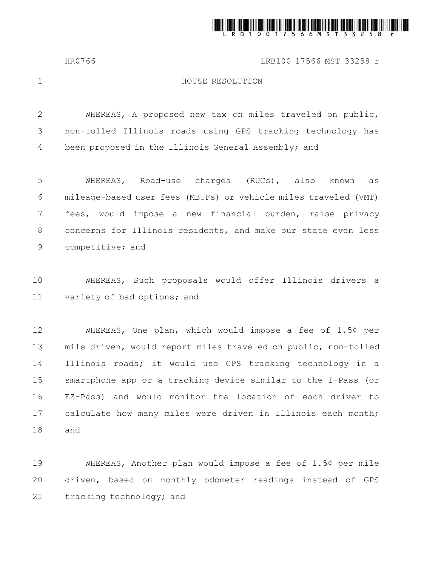

HR0766 LRB100 17566 MST 33258 r

1

## HOUSE RESOLUTION

WHEREAS, A proposed new tax on miles traveled on public, non-tolled Illinois roads using GPS tracking technology has been proposed in the Illinois General Assembly; and 2 3 4

WHEREAS, Road-use charges (RUCs), also known as mileage-based user fees (MBUFs) or vehicle miles traveled (VMT) fees, would impose a new financial burden, raise privacy concerns for Illinois residents, and make our state even less competitive; and 5 6 7 8 9

WHEREAS, Such proposals would offer Illinois drivers a variety of bad options; and 10 11

WHEREAS, One plan, which would impose a fee of 1.5¢ per mile driven, would report miles traveled on public, non-tolled Illinois roads; it would use GPS tracking technology in a smartphone app or a tracking device similar to the I-Pass (or EZ-Pass) and would monitor the location of each driver to calculate how many miles were driven in Illinois each month; and 12 13 14 15 16 17 18

WHEREAS, Another plan would impose a fee of 1.5¢ per mile driven, based on monthly odometer readings instead of GPS tracking technology; and 19 20 21